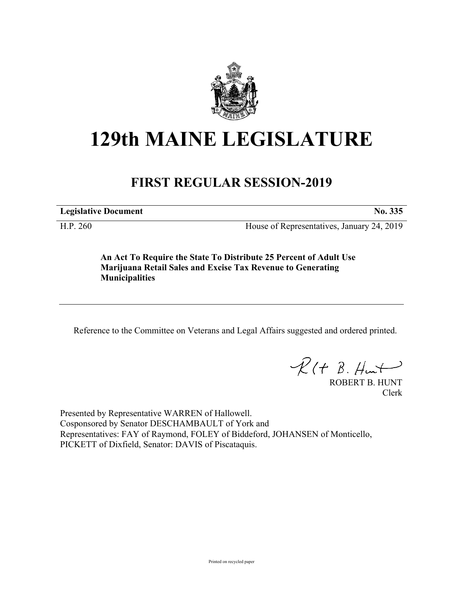

## **129th MAINE LEGISLATURE**

## **FIRST REGULAR SESSION-2019**

**Legislative Document No. 335**

H.P. 260 House of Representatives, January 24, 2019

**An Act To Require the State To Distribute 25 Percent of Adult Use Marijuana Retail Sales and Excise Tax Revenue to Generating Municipalities**

Reference to the Committee on Veterans and Legal Affairs suggested and ordered printed.

 $\mathcal{R}(t \; \mathcal{B}, \mathcal{H}_{\mathfrak{m}})$ 

ROBERT B. HUNT Clerk

Presented by Representative WARREN of Hallowell. Cosponsored by Senator DESCHAMBAULT of York and Representatives: FAY of Raymond, FOLEY of Biddeford, JOHANSEN of Monticello, PICKETT of Dixfield, Senator: DAVIS of Piscataquis.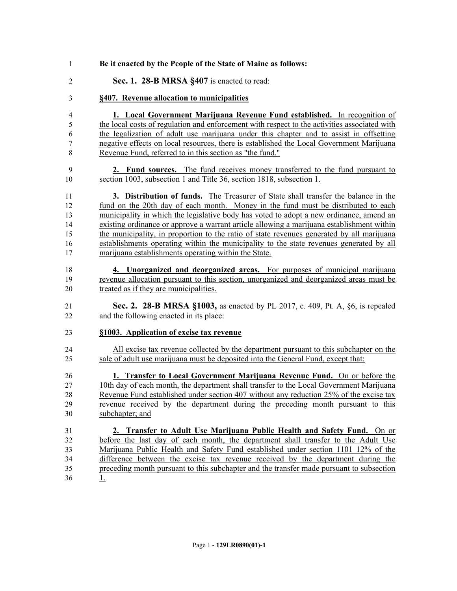| 1              | Be it enacted by the People of the State of Maine as follows:                                |
|----------------|----------------------------------------------------------------------------------------------|
| $\overline{2}$ | Sec. 1. 28-B MRSA §407 is enacted to read:                                                   |
| 3              | §407. Revenue allocation to municipalities                                                   |
| 4              | <b>1. Local Government Marijuana Revenue Fund established.</b> In recognition of             |
| 5              | the local costs of regulation and enforcement with respect to the activities associated with |
| 6              | the legalization of adult use marijuana under this chapter and to assist in offsetting       |
| 7              | negative effects on local resources, there is established the Local Government Marijuana     |
| 8              | Revenue Fund, referred to in this section as "the fund."                                     |
| 9              | <b>2. Fund sources.</b> The fund receives money transferred to the fund pursuant to          |
| 10             | section 1003, subsection 1 and Title 36, section 1818, subsection 1.                         |
| 11             | 3. Distribution of funds. The Treasurer of State shall transfer the balance in the           |
| 12             | fund on the 20th day of each month. Money in the fund must be distributed to each            |
| 13             | municipality in which the legislative body has voted to adopt a new ordinance, amend an      |
| 14             | existing ordinance or approve a warrant article allowing a marijuana establishment within    |
| 15             | the municipality, in proportion to the ratio of state revenues generated by all marijuana    |
| 16             | establishments operating within the municipality to the state revenues generated by all      |
| 17             | marijuana establishments operating within the State.                                         |
| 18             | 4. Unorganized and deorganized areas. For purposes of municipal marijuana                    |
| 19             | revenue allocation pursuant to this section, unorganized and deorganized areas must be       |
| 20             | treated as if they are municipalities.                                                       |
| 21             | <b>Sec. 2. 28-B MRSA §1003,</b> as enacted by PL 2017, c. 409, Pt. A, §6, is repealed        |
| 22             | and the following enacted in its place:                                                      |
| 23             | §1003. Application of excise tax revenue                                                     |
| 24             | All excise tax revenue collected by the department pursuant to this subchapter on the        |
| 25             | sale of adult use marijuana must be deposited into the General Fund, except that:            |
| 26             | 1. Transfer to Local Government Marijuana Revenue Fund. On or before the                     |
| 27             | 10th day of each month, the department shall transfer to the Local Government Marijuana      |
| 28             | Revenue Fund established under section 407 without any reduction 25% of the excise tax       |
| 29             | revenue received by the department during the preceding month pursuant to this               |
| 30             | subchapter; and                                                                              |
| 31             | 2. Transfer to Adult Use Marijuana Public Health and Safety Fund. On or                      |
| 32             | before the last day of each month, the department shall transfer to the Adult Use            |
| 33             | Marijuana Public Health and Safety Fund established under section 1101 12% of the            |
| 34             | difference between the excise tax revenue received by the department during the              |
| 35             | preceding month pursuant to this subchapter and the transfer made pursuant to subsection     |
| 36             | <u>1.</u>                                                                                    |